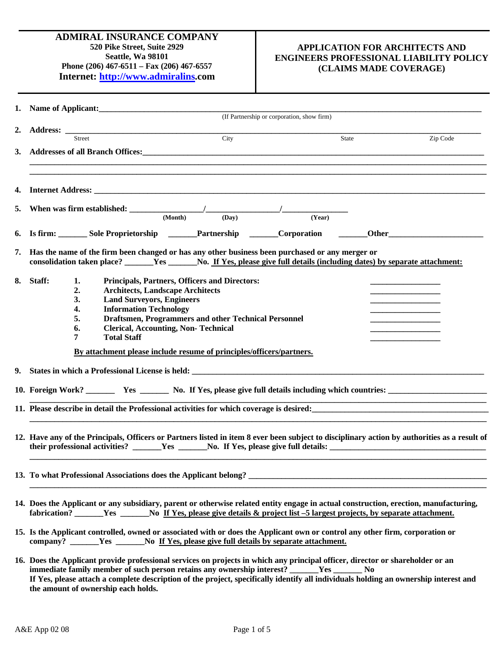# **APPLICATION FOR ARCHITECTS AND ENGINEERS PROFESSIONAL LIABILITY POLICY (CLAIMS MADE COVERAGE)**

|    | 1. Name of Applicant: 1. 2008.                                                                                                                                                                                           |       |        |       |          |  |
|----|--------------------------------------------------------------------------------------------------------------------------------------------------------------------------------------------------------------------------|-------|--------|-------|----------|--|
|    | (If Partnership or corporation, show firm)                                                                                                                                                                               |       |        |       |          |  |
| 2. | Street                                                                                                                                                                                                                   | City  |        | State | Zip Code |  |
| 3. |                                                                                                                                                                                                                          |       |        |       |          |  |
|    | Addresses of all Branch Offices:<br><u>Letter and the set of all Branch Offices:</u>                                                                                                                                     |       |        |       |          |  |
|    |                                                                                                                                                                                                                          |       |        |       |          |  |
| 4. |                                                                                                                                                                                                                          |       |        |       |          |  |
| 5. |                                                                                                                                                                                                                          |       |        |       |          |  |
|    | (Month)                                                                                                                                                                                                                  | (Day) | (Year) |       |          |  |
| 6. | Is firm: Sole Proprietorship ______Partnership ______Corporation ______Other________________________                                                                                                                     |       |        |       |          |  |
| 7. | Has the name of the firm been changed or has any other business been purchased or any merger or                                                                                                                          |       |        |       |          |  |
|    | consolidation taken place? ______Yes ______No. If Yes, please give full details (including dates) by separate attachment:                                                                                                |       |        |       |          |  |
|    |                                                                                                                                                                                                                          |       |        |       |          |  |
| 8. | Staff:<br>1.<br>Principals, Partners, Officers and Directors:<br><b>Architects, Landscape Architects</b><br>2.                                                                                                           |       |        |       |          |  |
|    | <b>Land Surveyors, Engineers</b><br>3.                                                                                                                                                                                   |       |        |       |          |  |
|    | <b>Information Technology</b><br>4.                                                                                                                                                                                      |       |        |       |          |  |
|    | Draftsmen, Programmers and other Technical Personnel<br>5.                                                                                                                                                               |       |        |       |          |  |
|    | <b>Clerical, Accounting, Non-Technical</b><br>6.                                                                                                                                                                         |       |        |       |          |  |
|    | <b>Total Staff</b><br>7                                                                                                                                                                                                  |       |        |       |          |  |
|    | By attachment please include resume of principles/officers/partners.                                                                                                                                                     |       |        |       |          |  |
|    |                                                                                                                                                                                                                          |       |        |       |          |  |
|    |                                                                                                                                                                                                                          |       |        |       |          |  |
|    |                                                                                                                                                                                                                          |       |        |       |          |  |
|    | 11. Please describe in detail the Professional activities for which coverage is desired:                                                                                                                                 |       |        |       |          |  |
|    |                                                                                                                                                                                                                          |       |        |       |          |  |
|    | 12. Have any of the Principals, Officers or Partners listed in item 8 ever been subject to disciplinary action by authorities as a result of                                                                             |       |        |       |          |  |
|    |                                                                                                                                                                                                                          |       |        |       |          |  |
|    |                                                                                                                                                                                                                          |       |        |       |          |  |
|    |                                                                                                                                                                                                                          |       |        |       |          |  |
|    |                                                                                                                                                                                                                          |       |        |       |          |  |
|    |                                                                                                                                                                                                                          |       |        |       |          |  |
|    | 14. Does the Applicant or any subsidiary, parent or otherwise related entity engage in actual construction, erection, manufacturing,                                                                                     |       |        |       |          |  |
|    | fabrication? _______Yes _______No If Yes, please give details & project list -5 largest projects, by separate attachment.                                                                                                |       |        |       |          |  |
|    |                                                                                                                                                                                                                          |       |        |       |          |  |
|    | 15. Is the Applicant controlled, owned or associated with or does the Applicant own or control any other firm, corporation or<br>company? _______Yes ________No If Yes, please give full details by separate attachment. |       |        |       |          |  |
|    |                                                                                                                                                                                                                          |       |        |       |          |  |
|    | 16. Does the Applicant provide professional services on projects in which any principal officer, director or shareholder or an                                                                                           |       |        |       |          |  |

**immediate family member of such person retains any ownership interest? \_\_\_\_\_\_\_Yes \_\_\_\_\_\_\_ No If Yes, please attach a complete description of the project, specifically identify all individuals holding an ownership interest and the amount of ownership each holds.**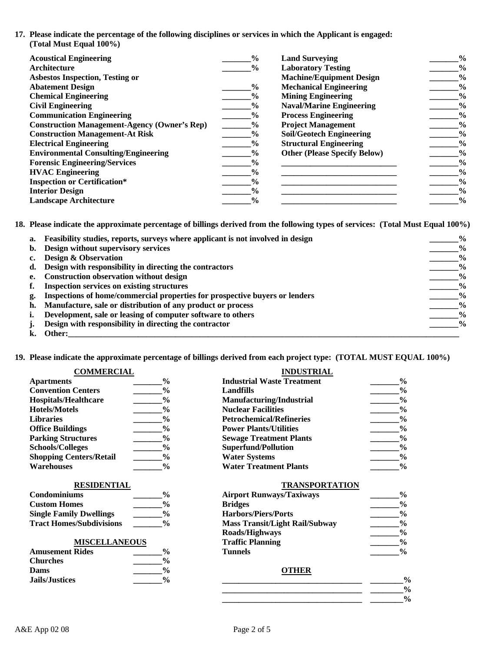**17. Please indicate the percentage of the following disciplines or services in which the Applicant is engaged: (Total Must Equal 100%)**

| <b>Acoustical Engineering</b>                       | $\frac{0}{0}$ | <b>Land Surveying</b>               | $\frac{0}{0}$ |
|-----------------------------------------------------|---------------|-------------------------------------|---------------|
| Architecture                                        | $\frac{0}{0}$ | <b>Laboratory Testing</b>           | $\frac{6}{6}$ |
| <b>Asbestos Inspection, Testing or</b>              |               | <b>Machine/Equipment Design</b>     | $\frac{0}{0}$ |
| <b>Abatement Design</b>                             | $\frac{0}{0}$ | <b>Mechanical Engineering</b>       | $\frac{0}{0}$ |
| <b>Chemical Engineering</b>                         | $\frac{0}{0}$ | <b>Mining Engineering</b>           | $\frac{6}{9}$ |
| <b>Civil Engineering</b>                            | $\frac{0}{0}$ | <b>Naval/Marine Engineering</b>     | $\frac{0}{0}$ |
| <b>Communication Engineering</b>                    | $\frac{0}{0}$ | <b>Process Engineering</b>          | $\frac{0}{0}$ |
| <b>Construction Management-Agency (Owner's Rep)</b> | $\frac{0}{0}$ | <b>Project Management</b>           | $\frac{6}{9}$ |
| <b>Construction Management-At Risk</b>              | $\frac{0}{0}$ | <b>Soil/Geotech Engineering</b>     | $\frac{0}{0}$ |
| <b>Electrical Engineering</b>                       | $\frac{0}{0}$ | <b>Structural Engineering</b>       | $\frac{0}{0}$ |
| <b>Environmental Consulting/Engineering</b>         | $\frac{0}{0}$ | <b>Other (Please Specify Below)</b> | $\frac{6}{9}$ |
| <b>Forensic Engineering/Services</b>                | $\frac{6}{9}$ |                                     | $\frac{0}{0}$ |
| <b>HVAC Engineering</b>                             | $\frac{0}{0}$ |                                     | $\frac{0}{0}$ |
| <b>Inspection or Certification*</b>                 | $\frac{0}{0}$ |                                     | $\frac{6}{9}$ |
| <b>Interior Design</b>                              | $\frac{6}{9}$ |                                     | $\frac{6}{9}$ |
| <b>Landscape Architecture</b>                       | $\frac{0}{0}$ |                                     | $\frac{0}{0}$ |

**18. Please indicate the approximate percentage of billings derived from the following types of services: (Total Must Equal 100%)**

| a.          | Feasibility studies, reports, surveys where applicant is not involved in design | $\frac{6}{9}$ |
|-------------|---------------------------------------------------------------------------------|---------------|
| b.          | Design without supervisory services                                             | $\frac{0}{0}$ |
|             | <b>Design &amp; Observation</b>                                                 | $\frac{6}{9}$ |
| d.          | Design with responsibility in directing the contractors                         | $\frac{0}{0}$ |
| $e_{\cdot}$ | <b>Construction observation without design</b>                                  | $\frac{0}{0}$ |
|             | <b>Inspection services on existing structures</b>                               | $\frac{6}{9}$ |
| g.          | Inspections of home/commercial properties for prospective buyers or lenders     | $\frac{6}{9}$ |
| h.          | Manufacture, sale or distribution of any product or process                     | $\frac{0}{0}$ |
|             | Development, sale or leasing of computer software to others                     | $\frac{6}{9}$ |
|             | Design with responsibility in directing the contractor                          | $\frac{6}{9}$ |
|             | Other:                                                                          |               |

**19. Please indicate the approximate percentage of billings derived from each project type: (TOTAL MUST EQUAL 100%)**

| <b>COMMERCIAL</b>              |               | <b>INDUSTRIAL</b>                 |  |
|--------------------------------|---------------|-----------------------------------|--|
| <b>Apartments</b>              | $\frac{0}{0}$ | <b>Industrial Waste Treatment</b> |  |
| <b>Convention Centers</b>      | $\frac{0}{0}$ | Landfills                         |  |
| <b>Hospitals/Healthcare</b>    | $\frac{6}{9}$ | Manufacturing/Industrial          |  |
| <b>Hotels/Motels</b>           | $\frac{6}{9}$ | <b>Nuclear Facilities</b>         |  |
| <b>Libraries</b>               | $\frac{0}{0}$ | <b>Petrochemical/Refineries</b>   |  |
| <b>Office Buildings</b>        | $\frac{6}{9}$ | <b>Power Plants/Utilities</b>     |  |
| <b>Parking Structures</b>      | $\frac{0}{0}$ | <b>Sewage Treatment Plants</b>    |  |
| <b>Schools/Colleges</b>        | $\%$          | <b>Superfund/Pollution</b>        |  |
| <b>Shopping Centers/Retail</b> | $\frac{6}{9}$ | <b>Water Systems</b>              |  |
| <b>Warehouses</b>              | $\frac{6}{9}$ | <b>Water Treatment Plants</b>     |  |

| Condominiums                    | $\frac{0}{0}$ |
|---------------------------------|---------------|
| <b>Custom Homes</b>             | $\frac{0}{0}$ |
| <b>Single Family Dwellings</b>  | $\frac{0}{0}$ |
| <b>Tract Homes/Subdivisions</b> | $\frac{0}{0}$ |

## **MISCELLANEOUS**

| <b>Amusement Rides</b> | $\frac{0}{0}$          | Tunnels | $\mathbf{0}$  |
|------------------------|------------------------|---------|---------------|
| <b>Churches</b>        | $\frac{0}{6}$          |         |               |
| Dams                   | $\mathbf{0}_{\Lambda}$ | OTHER   |               |
| <b>Jails/Justices</b>  | $\frac{0}{0}$          |         | $\frac{0}{0}$ |

| <b>Apartments</b>              | $\frac{0}{0}$ | <b>Industrial Waste Treatment</b> | $\frac{0}{0}$ |
|--------------------------------|---------------|-----------------------------------|---------------|
| <b>Convention Centers</b>      | $\frac{0}{0}$ | Landfills                         | $\frac{0}{0}$ |
| Hospitals/Healthcare           | $\frac{0}{0}$ | Manufacturing/Industrial          | $\frac{0}{0}$ |
| <b>Hotels/Motels</b>           | $\frac{0}{0}$ | <b>Nuclear Facilities</b>         | $\frac{0}{0}$ |
| <b>Libraries</b>               | $\frac{0}{0}$ | <b>Petrochemical/Refineries</b>   | $\frac{0}{0}$ |
| <b>Office Buildings</b>        | $\frac{0}{0}$ | <b>Power Plants/Utilities</b>     | $\frac{0}{0}$ |
| <b>Parking Structures</b>      | $\frac{6}{9}$ | <b>Sewage Treatment Plants</b>    | $\frac{0}{0}$ |
| <b>Schools/Colleges</b>        | $\frac{0}{0}$ | <b>Superfund/Pollution</b>        | $\frac{0}{0}$ |
| <b>Shopping Centers/Retail</b> | $\frac{0}{0}$ | <b>Water Systems</b>              | $\frac{0}{0}$ |
| Warehouses                     | $\frac{6}{6}$ | <b>Water Treatment Plants</b>     | $\frac{0}{0}$ |

### **RESIDENTIAL TRANSPORTATION**

| <b>Condominiums</b>             | $\frac{0}{0}$ | <b>Airport Runways/Taxiways</b>       | $\frac{0}{0}$ |
|---------------------------------|---------------|---------------------------------------|---------------|
| <b>Custom Homes</b>             | $\frac{0}{0}$ | <b>Bridges</b>                        | $\frac{0}{0}$ |
| <b>Single Family Dwellings</b>  | $\frac{0}{0}$ | <b>Harbors/Piers/Ports</b>            | $\frac{0}{0}$ |
| <b>Tract Homes/Subdivisions</b> | $\frac{0}{0}$ | <b>Mass Transit/Light Rail/Subway</b> | $\frac{0}{0}$ |
|                                 |               | Roads/Highways                        | $\frac{0}{0}$ |
| <b>MISCELLANEOUS</b>            |               | <b>Traffic Planning</b>               | $\frac{0}{0}$ |
| <b>Amusement Rides</b>          | $\frac{0}{0}$ | <b>Tunnels</b>                        | $\frac{0}{0}$ |
|                                 |               |                                       |               |

**\_\_\_\_\_\_\_\_\_\_\_\_\_\_\_\_\_\_\_\_\_\_\_\_\_\_\_\_\_\_\_\_\_\_ \_\_\_\_\_\_\_\_% \_\_\_\_\_\_\_\_\_\_\_\_\_\_\_\_\_\_\_\_\_\_\_\_\_\_\_\_\_\_\_\_\_\_ \_\_\_\_\_\_\_\_%**

# **b**  $\frac{0 \text{ THEN}}{0}$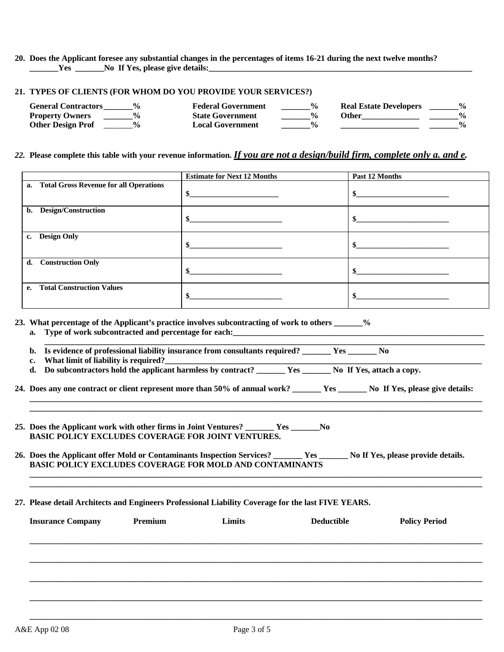**20. Does the Applicant foresee any substantial changes in the percentages of items 16-21 during the next twelve months? \_\_\_\_\_\_\_Yes \_\_\_\_\_\_\_No If Yes, please give details:** 

#### **21. TYPES OF CLIENTS (FOR WHOM DO YOU PROVIDE YOUR SERVICES?)**

| <b>General Contractors</b><br>$\frac{0}{\alpha}$ | <b>Federal Government</b> | $\frac{0}{0}$ | <b>Real Estate Developers</b> | $\frac{0}{0}$ |
|--------------------------------------------------|---------------------------|---------------|-------------------------------|---------------|
| <b>Property Owners</b>                           | <b>State Government</b>   |               | Other                         |               |
| <b>Other Design Prof</b>                         | <b>Local Government</b>   |               |                               | $\frac{0}{0}$ |

### *22.* **Please complete this table with your revenue information.** *If you are not a design/build firm, complete only a. and e.*

|               |                                           | <b>Estimate for Next 12 Months</b>                                                                                                                                                                                                         | Past 12 Months |
|---------------|-------------------------------------------|--------------------------------------------------------------------------------------------------------------------------------------------------------------------------------------------------------------------------------------------|----------------|
|               | a. Total Gross Revenue for all Operations | \$<br><u> 1989 - Johann Harry Harry Harry Harry Harry Harry Harry Harry Harry Harry Harry Harry Harry Harry Harry Harry Harry Harry Harry Harry Harry Harry Harry Harry Harry Harry Harry Harry Harry Harry Harry Harry Harry Harry Ha</u> |                |
| b.            | Design/Construction                       | the control of the control of the control of                                                                                                                                                                                               |                |
| $c_{\bullet}$ | <b>Design Only</b>                        | \$                                                                                                                                                                                                                                         |                |
| d.            | <b>Construction Only</b>                  |                                                                                                                                                                                                                                            |                |
| $e_{i}$       | <b>Total Construction Values</b>          |                                                                                                                                                                                                                                            |                |

**23. What percentage of the Applicant's practice involves subcontracting of work to others \_\_\_\_\_\_\_%** 

**a. Type of work subcontracted and percentage for each:** 

| b. Is evidence of professional liability insurance from consultants required? |  |
|-------------------------------------------------------------------------------|--|
| What limit of liability is required?                                          |  |

**d. Do subcontractors hold the applicant harmless by contract? \_\_\_\_\_\_\_ Yes \_\_\_\_\_\_\_ No If Yes, attach a copy.**

**24. Does any one contract or client represent more than 50% of annual work? \_\_\_\_\_\_\_ Yes \_\_\_\_\_\_\_ No If Yes, please give details:**

**\_\_\_\_\_\_\_\_\_\_\_\_\_\_\_\_\_\_\_\_\_\_\_\_\_\_\_\_\_\_\_\_\_\_\_\_\_\_\_\_\_\_\_\_\_\_\_\_\_\_\_\_\_\_\_\_\_\_\_\_\_\_\_\_\_\_\_\_\_\_\_\_\_\_\_\_\_\_\_\_\_\_\_\_\_\_\_\_\_\_\_\_\_\_\_\_\_\_\_\_\_\_\_\_\_\_\_\_\_\_ \_\_\_\_\_\_\_\_\_\_\_\_\_\_\_\_\_\_\_\_\_\_\_\_\_\_\_\_\_\_\_\_\_\_\_\_\_\_\_\_\_\_\_\_\_\_\_\_\_\_\_\_\_\_\_\_\_\_\_\_\_\_\_\_\_\_\_\_\_\_\_\_\_\_\_\_\_\_\_\_\_\_\_\_\_\_\_\_\_\_\_\_\_\_\_\_\_\_\_\_\_\_\_\_\_\_\_\_\_\_** 

**\_\_\_\_\_\_\_\_\_\_\_\_\_\_\_\_\_\_\_\_\_\_\_\_\_\_\_\_\_\_\_\_\_\_\_\_\_\_\_\_\_\_\_\_\_\_\_\_\_\_\_\_\_\_\_\_\_\_\_\_\_\_\_\_\_\_\_\_\_\_\_\_\_\_\_\_\_\_\_\_\_\_\_\_\_\_\_\_\_\_\_\_\_\_\_\_\_\_\_\_\_\_\_\_\_\_\_\_\_\_ \_\_\_\_\_\_\_\_\_\_\_\_\_\_\_\_\_\_\_\_\_\_\_\_\_\_\_\_\_\_\_\_\_\_\_\_\_\_\_\_\_\_\_\_\_\_\_\_\_\_\_\_\_\_\_\_\_\_\_\_\_\_\_\_\_\_\_\_\_\_\_\_\_\_\_\_\_\_\_\_\_\_\_\_\_\_\_\_\_\_\_\_\_\_\_\_\_\_\_\_\_\_\_\_\_\_\_\_\_\_** 

- **25. Does the Applicant work with other firms in Joint Ventures? \_\_\_\_\_\_\_ Yes \_\_\_\_\_\_\_No BASIC POLICY EXCLUDES COVERAGE FOR JOINT VENTURES.**
- **26. Does the Applicant offer Mold or Contaminants Inspection Services? \_\_\_\_\_\_\_ Yes \_\_\_\_\_\_\_ No If Yes, please provide details. BASIC POLICY EXCLUDES COVERAGE FOR MOLD AND CONTAMINANTS**

#### **27. Please detail Architects and Engineers Professional Liability Coverage for the last FIVE YEARS.**

| <b>Insurance Company</b> | Premium | Limits | <b>Deductible</b> | <b>Policy Period</b> |
|--------------------------|---------|--------|-------------------|----------------------|
|                          |         |        |                   |                      |
|                          |         |        |                   |                      |
|                          |         |        |                   |                      |
|                          |         |        |                   |                      |
|                          |         |        |                   |                      |

**\_\_\_\_\_\_\_\_\_\_\_\_\_\_\_\_\_\_\_\_\_\_\_\_\_\_\_\_\_\_\_\_\_\_\_\_\_\_\_\_\_\_\_\_\_\_\_\_\_\_\_\_\_\_\_\_\_\_\_\_\_\_\_\_\_\_\_\_\_\_\_\_\_\_\_\_\_\_\_\_\_\_\_\_\_\_\_\_\_\_\_\_\_\_\_\_\_\_\_\_\_\_\_\_\_\_\_\_\_\_**